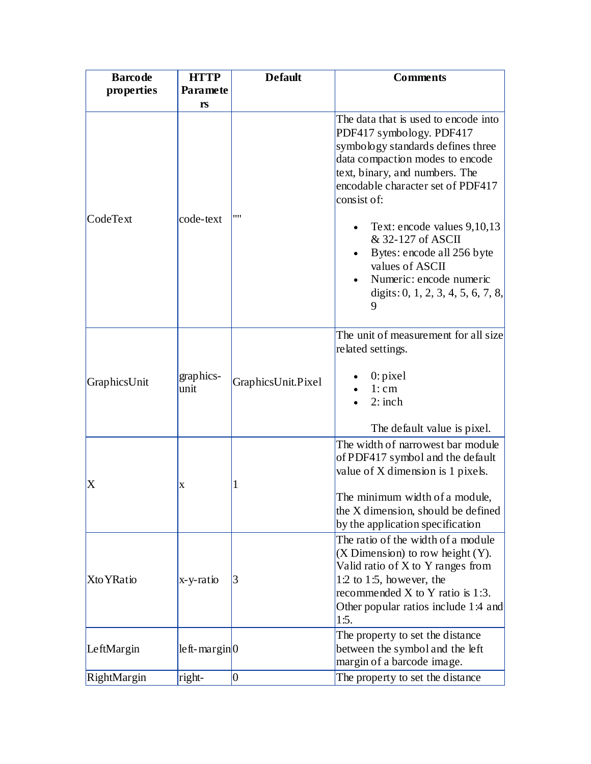| <b>Barcode</b> | <b>HTTP</b>       | <b>Default</b>     | <b>Comments</b>                                                                                                                                                                                                                                       |
|----------------|-------------------|--------------------|-------------------------------------------------------------------------------------------------------------------------------------------------------------------------------------------------------------------------------------------------------|
| properties     | Paramete          |                    |                                                                                                                                                                                                                                                       |
|                | rs                |                    |                                                                                                                                                                                                                                                       |
|                |                   |                    | The data that is used to encode into<br>PDF417 symbology. PDF417<br>symbology standards defines three<br>data compaction modes to encode<br>text, binary, and numbers. The<br>encodable character set of PDF417<br>consist of:                        |
| CodeText       | code-text         | ""                 | Text: encode values 9,10,13<br>& 32-127 of ASCII<br>Bytes: encode all 256 byte<br>values of ASCII<br>Numeric: encode numeric<br>digits: 0, 1, 2, 3, 4, 5, 6, 7, 8,<br>9                                                                               |
| GraphicsUnit   | graphics-<br>unit | GraphicsUnit.Pixel | The unit of measurement for all size<br>related settings.<br>$0$ : pixel<br>1:cm<br>$2:$ inch                                                                                                                                                         |
| X              | X                 | 1                  | The default value is pixel.<br>The width of narrowest bar module<br>of PDF417 symbol and the default<br>value of X dimension is 1 pixels.<br>The minimum width of a module.<br>the X dimension, should be defined<br>by the application specification |
| Xto YRatio     | x-y-ratio         | 3                  | The ratio of the width of a module<br>$(X$ Dimension) to row height $(Y)$ .<br>Valid ratio of X to Y ranges from<br>$1:2$ to $1:5$ , however, the<br>recommended $X$ to $Y$ ratio is 1:3.<br>Other popular ratios include 1:4 and<br>1:5.             |
| LeftMargin     | $left-maxgin 0$   |                    | The property to set the distance<br>between the symbol and the left<br>margin of a barcode image.                                                                                                                                                     |
| RightMargin    | right-            | 10                 | The property to set the distance                                                                                                                                                                                                                      |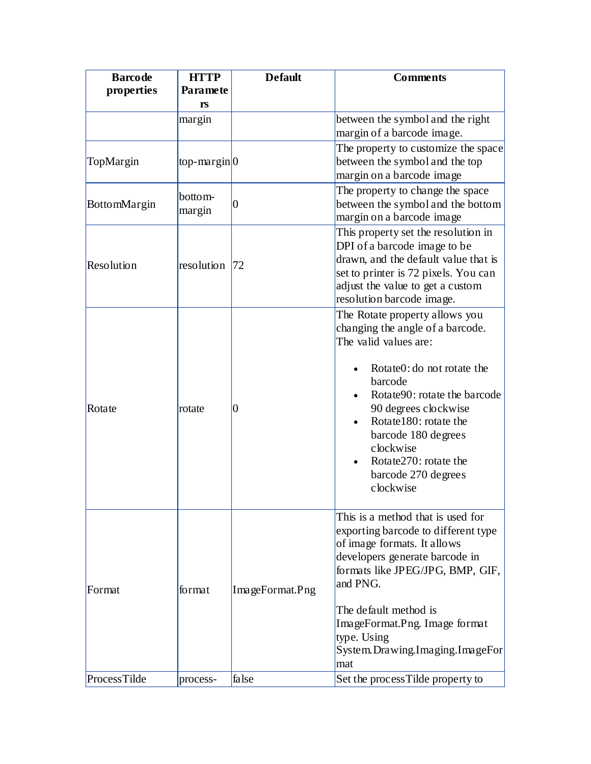| <b>Barcode</b> | <b>HTTP</b>       | <b>Default</b>  | <b>Comments</b>                                                       |
|----------------|-------------------|-----------------|-----------------------------------------------------------------------|
| properties     | Paramete          |                 |                                                                       |
|                | rs                |                 |                                                                       |
|                | margin            |                 | between the symbol and the right                                      |
|                |                   |                 | margin of a barcode image.                                            |
| TopMargin      | top-margin $ 0$   |                 | The property to customize the space                                   |
|                |                   |                 | between the symbol and the top<br>margin on a barcode image           |
|                |                   | 10<br> 72       |                                                                       |
| BottomMargin   | bottom-<br>margin |                 | The property to change the space<br>between the symbol and the bottom |
|                |                   |                 | margin on a barcode image                                             |
|                |                   |                 | This property set the resolution in                                   |
|                |                   |                 | DPI of a barcode image to be                                          |
|                |                   |                 | drawn, and the default value that is                                  |
| Resolution     | resolution        |                 | set to printer is 72 pixels. You can                                  |
|                |                   |                 | adjust the value to get a custom                                      |
|                |                   |                 | resolution barcode image.                                             |
|                |                   |                 | The Rotate property allows you                                        |
|                |                   |                 | changing the angle of a barcode.                                      |
|                |                   |                 | The valid values are:                                                 |
|                |                   |                 |                                                                       |
|                | rotate            |                 | Rotate0: do not rotate the<br>barcode                                 |
|                |                   |                 | Rotate90: rotate the barcode                                          |
| Rotate         |                   | 10              | 90 degrees clockwise                                                  |
|                |                   |                 | Rotate180: rotate the                                                 |
|                |                   |                 | barcode 180 degrees                                                   |
|                |                   |                 | clockwise                                                             |
|                |                   |                 | Rotate270: rotate the                                                 |
|                |                   |                 | barcode 270 degrees                                                   |
|                |                   |                 | clockwise                                                             |
|                |                   |                 |                                                                       |
|                | format            |                 | This is a method that is used for                                     |
|                |                   |                 | exporting barcode to different type                                   |
|                |                   |                 | of image formats. It allows<br>developers generate barcode in         |
|                |                   |                 | formats like JPEG/JPG, BMP, GIF,                                      |
| Format         |                   |                 | and PNG.                                                              |
|                |                   | ImageFormat.Png |                                                                       |
|                |                   |                 | The default method is                                                 |
|                |                   |                 | ImageFormat.Png. Image format                                         |
|                |                   |                 | type. Using                                                           |
|                |                   |                 | System.Drawing.Imaging.ImageFor                                       |
|                |                   |                 | mat                                                                   |
| ProcessTilde   | process-          | false           | Set the process Tilde property to                                     |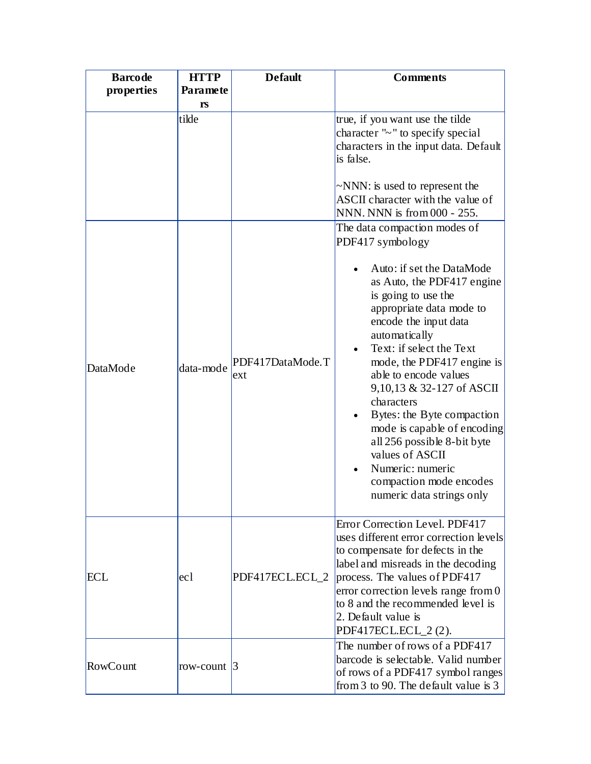| <b>Barcode</b> | <b>HTTP</b>       | <b>Default</b>          | <b>Comments</b>                                                                                                                                                                                                                                                                                                                                                                                                                                                               |
|----------------|-------------------|-------------------------|-------------------------------------------------------------------------------------------------------------------------------------------------------------------------------------------------------------------------------------------------------------------------------------------------------------------------------------------------------------------------------------------------------------------------------------------------------------------------------|
| properties     | Paramete          |                         |                                                                                                                                                                                                                                                                                                                                                                                                                                                                               |
|                | rs                |                         |                                                                                                                                                                                                                                                                                                                                                                                                                                                                               |
|                | tilde             |                         | true, if you want use the tilde<br>character "~" to specify special<br>characters in the input data. Default<br>is false.<br>$\sim$ NNN: is used to represent the<br>ASCII character with the value of<br>NNN. NNN is from 000 - 255.<br>The data compaction modes of<br>PDF417 symbology                                                                                                                                                                                     |
| DataMode       | data-mode         | PDF417DataMode.T<br>ext | Auto: if set the DataMode<br>as Auto, the PDF417 engine<br>is going to use the<br>appropriate data mode to<br>encode the input data<br>automatically<br>Text: if select the Text<br>mode, the PDF417 engine is<br>able to encode values<br>9,10,13 & 32-127 of ASCII<br>characters<br>Bytes: the Byte compaction<br>mode is capable of encoding<br>all 256 possible 8-bit byte<br>values of ASCII<br>Numeric: numeric<br>compaction mode encodes<br>numeric data strings only |
| <b>ECL</b>     | ecl               | PDF417ECL.ECL_2         | Error Correction Level. PDF417<br>uses different error correction levels<br>to compensate for defects in the<br>label and misreads in the decoding<br>process. The values of PDF417<br>error correction levels range from 0<br>to 8 and the recommended level is<br>2. Default value is<br>PDF417ECL.ECL_2(2).                                                                                                                                                                |
| RowCount       | row-count $\beta$ |                         | The number of rows of a PDF417<br>barcode is selectable. Valid number<br>of rows of a PDF417 symbol ranges<br>from 3 to 90. The default value is 3                                                                                                                                                                                                                                                                                                                            |